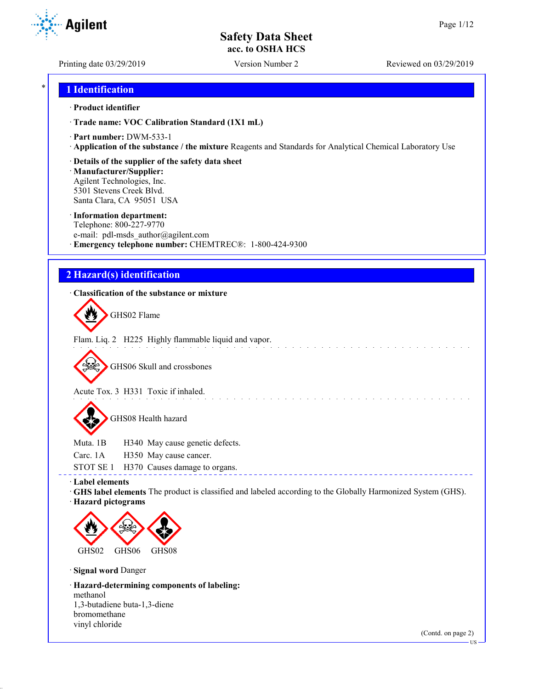Printing date 03/29/2019 Version Number 2 Reviewed on 03/29/2019

## \* **1 Identification**

#### · **Product identifier**

· **Trade name: VOC Calibration Standard (1X1 mL)**

- · **Part number:** DWM-533-1
- · **Application of the substance / the mixture** Reagents and Standards for Analytical Chemical Laboratory Use

#### · **Details of the supplier of the safety data sheet**

· **Manufacturer/Supplier:** Agilent Technologies, Inc. 5301 Stevens Creek Blvd. Santa Clara, CA 95051 USA

#### · **Information department:**

Telephone: 800-227-9770 e-mail: pdl-msds author@agilent.com · **Emergency telephone number:** CHEMTREC®: 1-800-424-9300

## **2 Hazard(s) identification**

### · **Classification of the substance or mixture**

GHS02 Flame

Flam. Liq. 2 H225 Highly flammable liquid and vapor.

GHS06 Skull and crossbones

Acute Tox. 3 H331 Toxic if inhaled.

GHS08 Health hazard

Muta. 1B H340 May cause genetic defects.

Carc. 1A H350 May cause cancer.

STOT SE 1 H370 Causes damage to organs.

#### · **Label elements**

· **GHS label elements** The product is classified and labeled according to the Globally Harmonized System (GHS). · **Hazard pictograms**

and a straight and



· **Signal word** Danger

· **Hazard-determining components of labeling:** methanol 1,3-butadiene buta-1,3-diene bromomethane vinyl chloride

(Contd. on page 2)



US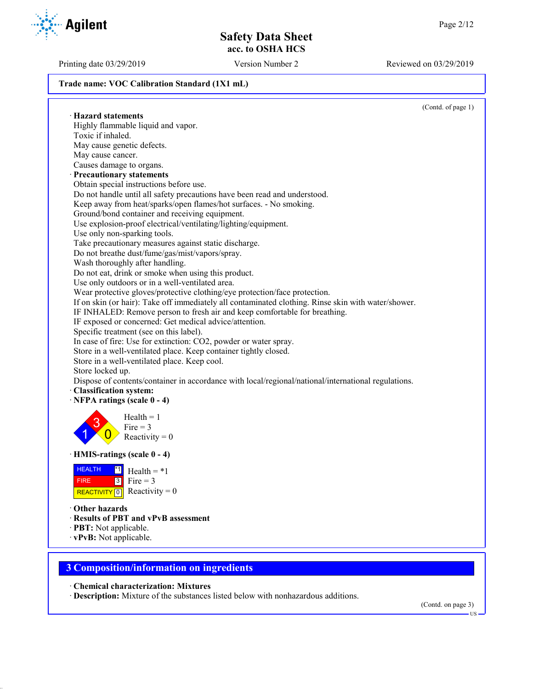Printing date 03/29/2019 Version Number 2 Reviewed on 03/29/2019

#### **Trade name: VOC Calibration Standard (1X1 mL)**

(Contd. of page 1) · **Hazard statements** Highly flammable liquid and vapor. Toxic if inhaled. May cause genetic defects. May cause cancer. Causes damage to organs. · **Precautionary statements** Obtain special instructions before use. Do not handle until all safety precautions have been read and understood. Keep away from heat/sparks/open flames/hot surfaces. - No smoking. Ground/bond container and receiving equipment. Use explosion-proof electrical/ventilating/lighting/equipment. Use only non-sparking tools. Take precautionary measures against static discharge. Do not breathe dust/fume/gas/mist/vapors/spray. Wash thoroughly after handling. Do not eat, drink or smoke when using this product. Use only outdoors or in a well-ventilated area. Wear protective gloves/protective clothing/eye protection/face protection. If on skin (or hair): Take off immediately all contaminated clothing. Rinse skin with water/shower. IF INHALED: Remove person to fresh air and keep comfortable for breathing. IF exposed or concerned: Get medical advice/attention. Specific treatment (see on this label). In case of fire: Use for extinction: CO2, powder or water spray. Store in a well-ventilated place. Keep container tightly closed. Store in a well-ventilated place. Keep cool. Store locked up. Dispose of contents/container in accordance with local/regional/national/international regulations. · **Classification system:** · **NFPA ratings (scale 0 - 4)** 1 3  $\overline{0}$  $Health = 1$ Fire  $= 3$ Reactivity  $= 0$ · **HMIS-ratings (scale 0 - 4) HEALTH**  FIRE REACTIVITY  $\boxed{0}$  Reactivity = 0  $\overline{1}$  Health = \*1 3 Fire  $= 3$ · **Other hazards** · **Results of PBT and vPvB assessment** · **PBT:** Not applicable. · **vPvB:** Not applicable.

## **3 Composition/information on ingredients**

· **Chemical characterization: Mixtures**

· **Description:** Mixture of the substances listed below with nonhazardous additions.

(Contd. on page 3)

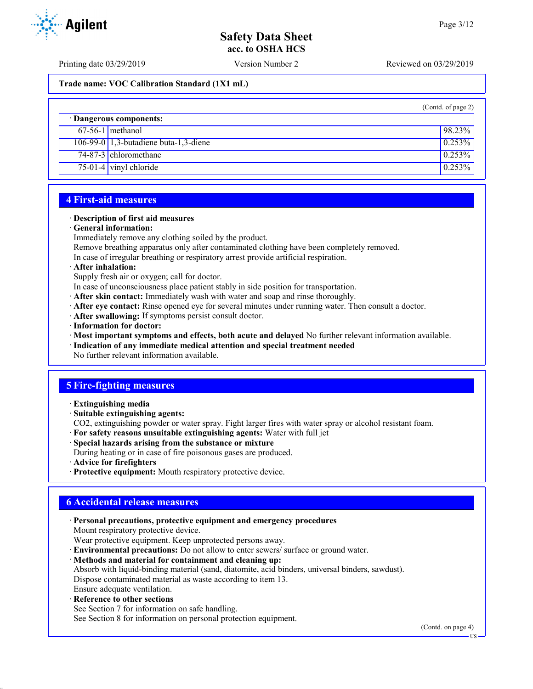Printing date 03/29/2019 Version Number 2 Reviewed on 03/29/2019

#### **Trade name: VOC Calibration Standard (1X1 mL)**

|                                       | (Contd. of page 2) |
|---------------------------------------|--------------------|
| · Dangerous components:               |                    |
| $67-56-1$ methanol                    | 98.23%             |
| 106-99-0 1,3-butadiene buta-1,3-diene | 0.253%             |
| 74-87-3 chloromethane                 | 0.253%             |
| $75-01-4$ vinyl chloride              | 0.253%             |

## **4 First-aid measures**

#### · **Description of first aid measures**

#### · **General information:**

Immediately remove any clothing soiled by the product.

Remove breathing apparatus only after contaminated clothing have been completely removed.

In case of irregular breathing or respiratory arrest provide artificial respiration.

· **After inhalation:**

Supply fresh air or oxygen; call for doctor.

- In case of unconsciousness place patient stably in side position for transportation.
- · **After skin contact:** Immediately wash with water and soap and rinse thoroughly.
- · **After eye contact:** Rinse opened eye for several minutes under running water. Then consult a doctor.
- · **After swallowing:** If symptoms persist consult doctor.
- · **Information for doctor:**

· **Most important symptoms and effects, both acute and delayed** No further relevant information available.

· **Indication of any immediate medical attention and special treatment needed**

No further relevant information available.

## **5 Fire-fighting measures**

- · **Extinguishing media**
- · **Suitable extinguishing agents:**

CO2, extinguishing powder or water spray. Fight larger fires with water spray or alcohol resistant foam.

- · **For safety reasons unsuitable extinguishing agents:** Water with full jet
- · **Special hazards arising from the substance or mixture**

During heating or in case of fire poisonous gases are produced.

- · **Advice for firefighters**
- · **Protective equipment:** Mouth respiratory protective device.

## **6 Accidental release measures**

· **Personal precautions, protective equipment and emergency procedures**

Mount respiratory protective device.

- Wear protective equipment. Keep unprotected persons away.
- · **Environmental precautions:** Do not allow to enter sewers/ surface or ground water.
- · **Methods and material for containment and cleaning up:**

Absorb with liquid-binding material (sand, diatomite, acid binders, universal binders, sawdust).

Dispose contaminated material as waste according to item 13.

- Ensure adequate ventilation.
- · **Reference to other sections**

See Section 7 for information on safe handling. See Section 8 for information on personal protection equipment.

(Contd. on page 4)

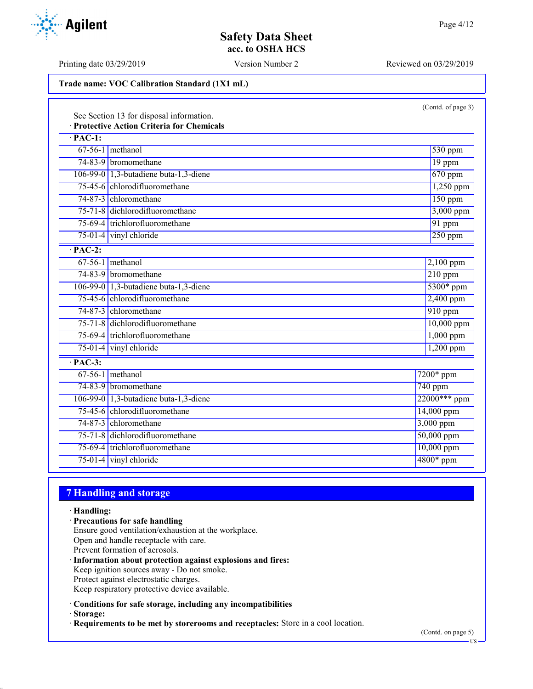Printing date 03/29/2019 Version Number 2 Reviewed on 03/29/2019

#### **Trade name: VOC Calibration Standard (1X1 mL)**

|  | (Contd. of page 3) |  |
|--|--------------------|--|
|--|--------------------|--|

| See Section 13 for disposal information.<br><b>Protective Action Criteria for Chemicals</b> |                                       |                              |  |
|---------------------------------------------------------------------------------------------|---------------------------------------|------------------------------|--|
| $\cdot$ PAC-1:                                                                              |                                       |                              |  |
|                                                                                             | $67-56-1$ methanol                    | $530$ ppm                    |  |
|                                                                                             | 74-83-9 bromomethane                  | 19 ppm                       |  |
|                                                                                             | 106-99-0 1,3-butadiene buta-1,3-diene | 670 ppm                      |  |
|                                                                                             | 75-45-6 chlorodifluoromethane         | 1,250 ppm                    |  |
|                                                                                             | 74-87-3 chloromethane                 | $150$ ppm                    |  |
|                                                                                             | 75-71-8 dichlorodifluoromethane       | 3,000 ppm                    |  |
|                                                                                             | 75-69-4 trichlorofluoromethane        | 91 ppm                       |  |
|                                                                                             | $75-01-4$ vinyl chloride              | $250$ ppm                    |  |
| $\overline{PAC-2}$ :                                                                        |                                       |                              |  |
|                                                                                             | $67-56-1$ methanol                    | $2,100$ ppm                  |  |
|                                                                                             | 74-83-9 bromomethane                  | $\overline{210 \text{ ppm}}$ |  |
|                                                                                             | 106-99-0 1,3-butadiene buta-1,3-diene | 5300* ppm                    |  |
|                                                                                             | 75-45-6 chlorodifluoromethane         | $2,400$ ppm                  |  |
|                                                                                             | 74-87-3 chloromethane                 | $910$ ppm                    |  |
|                                                                                             | 75-71-8 dichlorodifluoromethane       | $10,000$ ppm                 |  |
|                                                                                             | 75-69-4 trichlorofluoromethane        | $1,000$ ppm                  |  |
|                                                                                             | $75-01-4$ vinyl chloride              | 1,200 ppm                    |  |
| $\overline{PAC-3}$ :                                                                        |                                       |                              |  |
|                                                                                             | $67-56-1$ methanol                    | $7200*$ ppm                  |  |
|                                                                                             | 74-83-9 bromomethane                  | 740 ppm                      |  |
|                                                                                             | 106-99-0 1,3-butadiene buta-1,3-diene | 22000*** ppm                 |  |
|                                                                                             | 75-45-6 chlorodifluoromethane         | 14,000 ppm                   |  |
|                                                                                             | 74-87-3 chloromethane                 | 3,000 ppm                    |  |
|                                                                                             | 75-71-8 dichlorodifluoromethane       | 50,000 ppm                   |  |
|                                                                                             | 75-69-4 trichlorofluoromethane        | 10,000 ppm                   |  |
|                                                                                             | $75-01-4$ vinyl chloride              | 4800* ppm                    |  |

## **7 Handling and storage**

· **Handling:**

· **Precautions for safe handling** Ensure good ventilation/exhaustion at the workplace. Open and handle receptacle with care. Prevent formation of aerosols. · **Information about protection against explosions and fires:**

Keep ignition sources away - Do not smoke. Protect against electrostatic charges.

Keep respiratory protective device available.

· **Conditions for safe storage, including any incompatibilities**

· **Storage:**

· **Requirements to be met by storerooms and receptacles:** Store in a cool location.

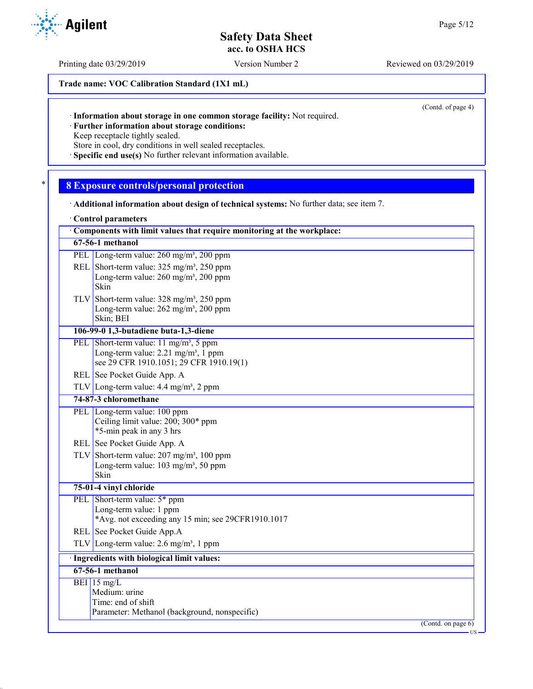Printing date 03/29/2019 Version Number 2 Reviewed on 03/29/2019

**Trade name: VOC Calibration Standard (1X1 mL)**

(Contd. of page 4)

· **Further information about storage conditions:**

Keep receptacle tightly sealed.

Store in cool, dry conditions in well sealed receptacles. · **Specific end use(s)** No further relevant information available.

# \* **8 Exposure controls/personal protection**

- · **Additional information about design of technical systems:** No further data; see item 7.
- · **Control parameters**

|            | Components with limit values that require monitoring at the workplace:                                                                         |
|------------|------------------------------------------------------------------------------------------------------------------------------------------------|
|            | $67-56-1$ methanol                                                                                                                             |
|            | PEL Long-term value: 260 mg/m <sup>3</sup> , 200 ppm                                                                                           |
|            | REL Short-term value: $325 \text{ mg/m}^3$ , $250 \text{ ppm}$<br>Long-term value: $260$ mg/m <sup>3</sup> , $200$ ppm<br>Skin                 |
|            | TLV Short-term value: $328 \text{ mg/m}^3$ , $250 \text{ ppm}$<br>Long-term value: 262 mg/m <sup>3</sup> , 200 ppm<br>Skin; BEI                |
|            | 106-99-0 1,3-butadiene buta-1,3-diene                                                                                                          |
|            | PEL Short-term value: $11 \text{ mg/m}^3$ , 5 ppm<br>Long-term value: $2.21 \text{ mg/m}^3$ , 1 ppm<br>see 29 CFR 1910.1051; 29 CFR 1910.19(1) |
|            | REL See Pocket Guide App. A                                                                                                                    |
|            | TLV Long-term value: $4.4 \text{ mg/m}^3$ , 2 ppm                                                                                              |
|            | 74-87-3 chloromethane                                                                                                                          |
|            | PEL Long-term value: 100 ppm<br>Ceiling limit value: 200; 300* ppm<br>*5-min peak in any 3 hrs                                                 |
|            | REL See Pocket Guide App. A                                                                                                                    |
|            | TLV Short-term value: $207 \text{ mg/m}^3$ , 100 ppm<br>Long-term value: 103 mg/m <sup>3</sup> , 50 ppm<br>Skin                                |
|            | 75-01-4 vinyl chloride                                                                                                                         |
|            | PEL Short-term value: 5* ppm<br>Long-term value: 1 ppm<br>*Avg. not exceeding any 15 min; see 29CFR1910.1017                                   |
|            | REL See Pocket Guide App.A                                                                                                                     |
| <b>TLV</b> | Long-term value: $2.6 \text{ mg/m}^3$ , 1 ppm                                                                                                  |
|            | · Ingredients with biological limit values:                                                                                                    |
|            | $67-56-1$ methanol                                                                                                                             |
|            | BEI $15 \text{ mg/L}$<br>Medium: urine<br>Time: end of shift<br>Parameter: Methanol (background, nonspecific)                                  |
|            | (Contd. on page $6$ )                                                                                                                          |

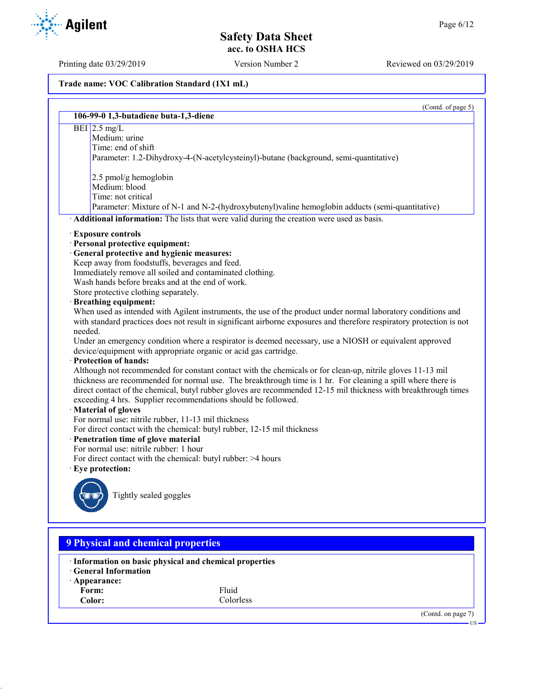Printing date 03/29/2019 Version Number 2 Reviewed on 03/29/2019

#### **Trade name: VOC Calibration Standard (1X1 mL)**

(Contd. of page 5) **106-99-0 1,3-butadiene buta-1,3-diene**  $BEI$  2.5 mg/L Medium: urine Time: end of shift Parameter: 1.2-Dihydroxy-4-(N-acetylcysteinyl)-butane (background, semi-quantitative) 2.5 pmol/g hemoglobin Medium: blood Time: not critical Parameter: Mixture of N-1 and N-2-(hydroxybutenyl)valine hemoglobin adducts (semi-quantitative) · **Additional information:** The lists that were valid during the creation were used as basis. · **Exposure controls** · **Personal protective equipment:** · **General protective and hygienic measures:** Keep away from foodstuffs, beverages and feed. Immediately remove all soiled and contaminated clothing. Wash hands before breaks and at the end of work. Store protective clothing separately. · **Breathing equipment:** When used as intended with Agilent instruments, the use of the product under normal laboratory conditions and with standard practices does not result in significant airborne exposures and therefore respiratory protection is not needed. Under an emergency condition where a respirator is deemed necessary, use a NIOSH or equivalent approved device/equipment with appropriate organic or acid gas cartridge. · **Protection of hands:** Although not recommended for constant contact with the chemicals or for clean-up, nitrile gloves 11-13 mil thickness are recommended for normal use. The breakthrough time is 1 hr. For cleaning a spill where there is direct contact of the chemical, butyl rubber gloves are recommended 12-15 mil thickness with breakthrough times exceeding 4 hrs. Supplier recommendations should be followed. · **Material of gloves** For normal use: nitrile rubber, 11-13 mil thickness For direct contact with the chemical: butyl rubber, 12-15 mil thickness · **Penetration time of glove material** For normal use: nitrile rubber: 1 hour For direct contact with the chemical: butyl rubber: >4 hours · **Eye protection:** Tightly sealed goggles **9 Physical and chemical properties** · **Information on basic physical and chemical properties** · **General Information** · **Appearance:** Form: Fluid





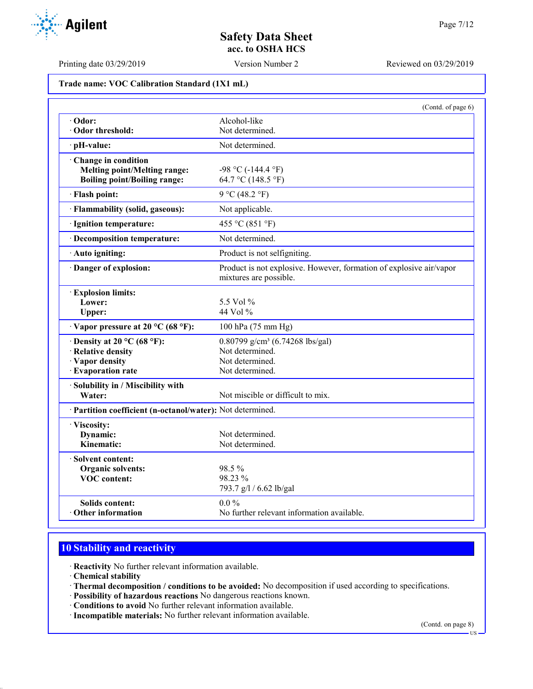Printing date 03/29/2019 Version Number 2 Reviewed on 03/29/2019

# **Trade name: VOC Calibration Standard (1X1 mL)** (Contd. of page 6) · **Odor:** Alcohol-like · Odor threshold: Not determined. · **pH-value:** Not determined. · **Change in condition Melting point/Melting range:**  $-98 \degree C (-144.4 \degree F)$ **Boiling point/Boiling range:** 64.7 °C (148.5 °F)  $\cdot$  **Flash point:** 9 °C (48.2 °F) · **Flammability (solid, gaseous):** Not applicable. · **Ignition temperature:** 455 °C (851 °F) · **Decomposition temperature:** Not determined. · **Auto igniting:** Product is not selfigniting. · **Danger of explosion:** Product is not explosive. However, formation of explosive air/vapor mixtures are possible. · **Explosion limits: Lower:** 5.5 Vol % Upper: 44 Vol %  $\cdot$  **Vapor pressure at 20 °C (68 °F):** 100 hPa (75 mm Hg)  $\cdot$  **Density at 20 °C (68 °F):** 0.80799 g/cm<sup>3</sup> (6.74268 lbs/gal) **Relative density** Not determined. **· Vapor density Not determined.**<br>• **Evaporation rate Not determined.**  $\cdot$  Evaporation rate · **Solubility in / Miscibility with Water:** Not miscible or difficult to mix. · **Partition coefficient (n-octanol/water):** Not determined. · **Viscosity: Dynamic:** Not determined.<br> **Kinematic:** Not determined. Not determined. · **Solvent content: Organic solvents:** 98.5 %<br> **VOC content:** 98.23 % **VOC** content:

793.7 g/l / 6.62 lb/gal **Solids content:** 0.0 % **Other information** No further relevant information available.

# **10 Stability and reactivity**

· **Reactivity** No further relevant information available.

- · **Chemical stability**
- · **Thermal decomposition / conditions to be avoided:** No decomposition if used according to specifications.
- · **Possibility of hazardous reactions** No dangerous reactions known.
- · **Conditions to avoid** No further relevant information available.
- · **Incompatible materials:** No further relevant information available.

(Contd. on page 8)

 $\overline{18}$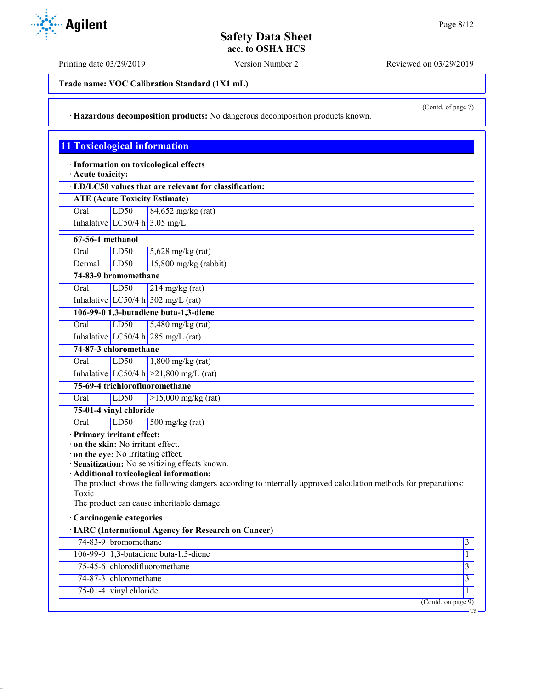Printing date 03/29/2019 Version Number 2 Reviewed on 03/29/2019

**Trade name: VOC Calibration Standard (1X1 mL)**

(Contd. of page 7)

US

· **Hazardous decomposition products:** No dangerous decomposition products known.

## **11 Toxicological information**

· **Information on toxicological effects**

· **Acute toxicity:**

# **ATE (Acute Toxicity Estimate)**

Oral LD50 84,652 mg/kg (rat) Inhalative  $LC50/4$  h 3.05 mg/L

| 67-56-1 methanol |
|------------------|

| Oral   | LD50 | $5,628$ mg/kg (rat)     |
|--------|------|-------------------------|
| Dermal | LD50 | $15,800$ mg/kg (rabbit) |

**74-83-9 bromomethane**

Oral LD50 214 mg/kg (rat) Inhalative  $LC50/4 h$  302 mg/L (rat)

**106-99-0 1,3-butadiene buta-1,3-diene**

Oral LD50 5,480 mg/kg (rat)

Inhalative  $LC50/4$  h  $285$  mg/L (rat)

**74-87-3 chloromethane** Oral LD50 1,800 mg/kg (rat)

Inhalative  $LC50/4 h$  > 21,800 mg/L (rat)

**75-69-4 trichlorofluoromethane**

Oral LD50 >15,000 mg/kg (rat)

### **75-01-4 vinyl chloride**

Oral LD50 500 mg/kg (rat)

· **Primary irritant effect:**

· **on the skin:** No irritant effect.

· **on the eye:** No irritating effect.

· **Sensitization:** No sensitizing effects known.

· **Additional toxicological information:**

The product shows the following dangers according to internally approved calculation methods for preparations: Toxic

The product can cause inheritable damage.

#### · **Carcinogenic categories**

| · IARC (International Agency for Research on Cancer) |                                               |  |
|------------------------------------------------------|-----------------------------------------------|--|
|                                                      | 74-83-9 bromomethane                          |  |
|                                                      | 106-99-0 $\vert$ 1,3-butadiene buta-1,3-diene |  |
|                                                      | 75-45-6 chlorodifluoromethane                 |  |
|                                                      | 74-87-3 chloromethane                         |  |
|                                                      | $75-01-4$ vinyl chloride                      |  |
|                                                      | (Contd. on page 9)                            |  |

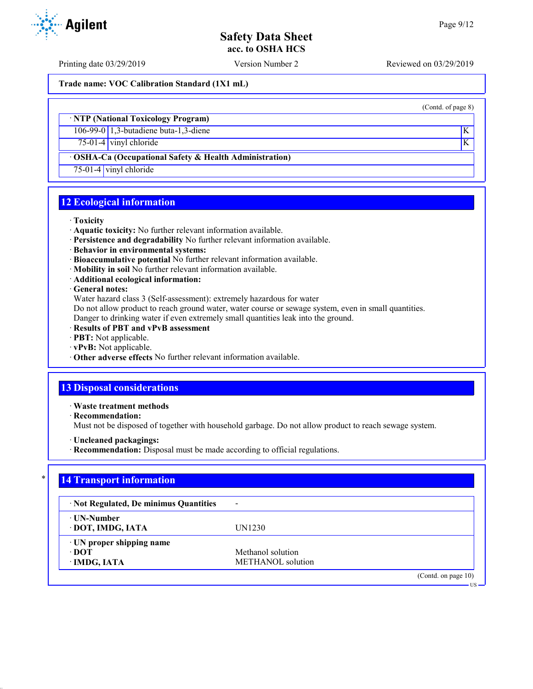Printing date 03/29/2019 Version Number 2 Reviewed on 03/29/2019

**Trade name: VOC Calibration Standard (1X1 mL)**

#### · **NTP (National Toxicology Program)**

106-99-0 1,3-butadiene buta-1,3-diene K

 $75-01-4$  vinyl chloride K

### · **OSHA-Ca (Occupational Safety & Health Administration)**

75-01-4 vinyl chloride

## **12 Ecological information**

#### · **Toxicity**

- · **Aquatic toxicity:** No further relevant information available.
- · **Persistence and degradability** No further relevant information available.
- · **Behavior in environmental systems:**
- · **Bioaccumulative potential** No further relevant information available.
- · **Mobility in soil** No further relevant information available.
- · **Additional ecological information:**

· **General notes:**

Water hazard class 3 (Self-assessment): extremely hazardous for water

Do not allow product to reach ground water, water course or sewage system, even in small quantities.

Danger to drinking water if even extremely small quantities leak into the ground.

- · **Results of PBT and vPvB assessment**
- · **PBT:** Not applicable.
- · **vPvB:** Not applicable.
- · **Other adverse effects** No further relevant information available.

# **13 Disposal considerations**

· **Waste treatment methods**

· **Recommendation:**

Must not be disposed of together with household garbage. Do not allow product to reach sewage system.

- · **Uncleaned packagings:**
- · **Recommendation:** Disposal must be made according to official regulations.

# **14 Transport information**

| · Not Regulated, De minimus Quantities | $\overline{\phantom{0}}$ |                        |
|----------------------------------------|--------------------------|------------------------|
| ⋅ UN-Number<br>· DOT, IMDG, IATA       | UN1230                   |                        |
| $\cdot$ UN proper shipping name        |                          |                        |
| ∙ DOT                                  | Methanol solution        |                        |
| · IMDG, IATA                           | METHANOL solution        |                        |
|                                        |                          | (Contd. on page $10$ ) |



(Contd. of page 8)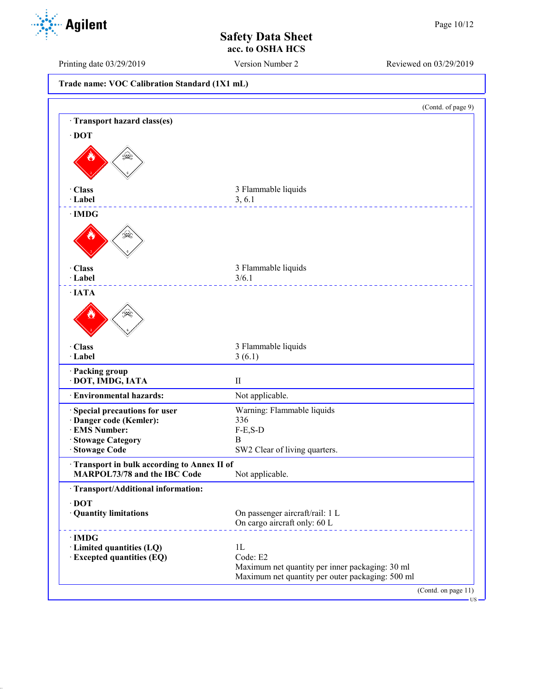Printing date 03/29/2019 Version Number 2 Reviewed on 03/29/2019

|  | Trade name: VOC Calibration Standard (1X1 mL) |  |  |
|--|-----------------------------------------------|--|--|
|--|-----------------------------------------------|--|--|

|                                                                            |                                                                 | (Contd. of page 9) |
|----------------------------------------------------------------------------|-----------------------------------------------------------------|--------------------|
| Transport hazard class(es)                                                 |                                                                 |                    |
| $\cdot$ DOT                                                                |                                                                 |                    |
|                                                                            |                                                                 |                    |
| · Class<br>· Label                                                         | 3 Flammable liquids<br>3, 6.1                                   |                    |
| $\cdot$ IMDG                                                               |                                                                 |                    |
|                                                                            |                                                                 |                    |
| · Class                                                                    | 3 Flammable liquids                                             |                    |
| · Label                                                                    | 3/6.1                                                           |                    |
| $\cdot$ IATA                                                               |                                                                 |                    |
|                                                                            |                                                                 |                    |
| · Class                                                                    | 3 Flammable liquids                                             |                    |
| · Label                                                                    | 3(6.1)                                                          |                    |
| · Packing group<br>· DOT, IMDG, IATA                                       | $\mathbf{I}$                                                    |                    |
| · Environmental hazards:                                                   | Not applicable.                                                 |                    |
| · Special precautions for user                                             | Warning: Flammable liquids                                      |                    |
| · Danger code (Kemler):                                                    | 336                                                             |                    |
| · EMS Number:                                                              | $F-E, S-D$                                                      |                    |
| · Stowage Category<br>· Stowage Code                                       | B<br>SW2 Clear of living quarters.                              |                    |
|                                                                            |                                                                 |                    |
| Transport in bulk according to Annex II of<br>MARPOL73/78 and the IBC Code | Not applicable.                                                 |                    |
| · Transport/Additional information:                                        |                                                                 |                    |
| $\cdot$ DOT                                                                |                                                                 |                    |
| · Quantity limitations                                                     | On passenger aircraft/rail: 1 L<br>On cargo aircraft only: 60 L |                    |
| $\cdot$ IMDG                                                               |                                                                 |                    |
| · Limited quantities (LQ)                                                  | 1L                                                              |                    |
| · Excepted quantities (EQ)                                                 | Code: E2                                                        |                    |
|                                                                            | Maximum net quantity per inner packaging: 30 ml                 |                    |
|                                                                            | Maximum net quantity per outer packaging: 500 ml                |                    |

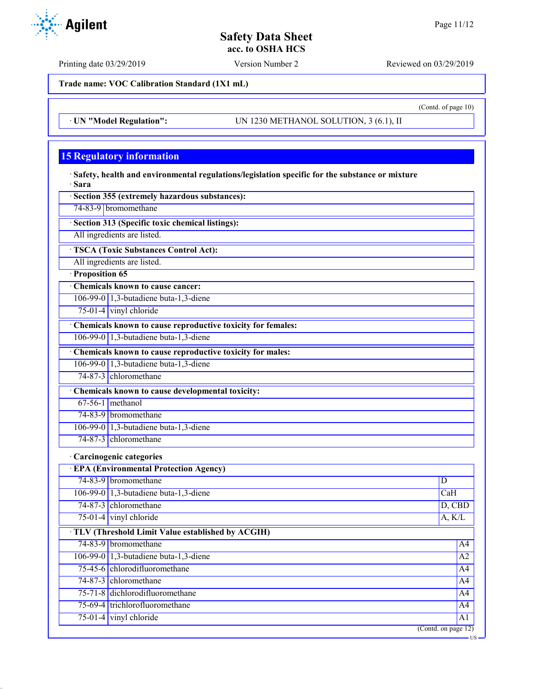Printing date 03/29/2019 Version Number 2 Reviewed on 03/29/2019

**Trade name: VOC Calibration Standard (1X1 mL)**

· **UN "Model Regulation":** UN 1230 METHANOL SOLUTION, 3 (6.1), II

# **15 Regulatory information**

· **Safety, health and environmental regulations/legislation specific for the substance or mixture** · **Sara**

- · **Section 355 (extremely hazardous substances):**
- 74-83-9 bromomethane

· **Section 313 (Specific toxic chemical listings):**

All ingredients are listed.

· **TSCA (Toxic Substances Control Act):**

All ingredients are listed.

· **Proposition 65**

· **Chemicals known to cause cancer:** 106-99-0 1,3-butadiene buta-1,3-diene

75-01-4 vinyl chloride

· **Chemicals known to cause reproductive toxicity for females:**

106-99-0 1,3-butadiene buta-1,3-diene

· **Chemicals known to cause reproductive toxicity for males:**

106-99-0 1,3-butadiene buta-1,3-diene

74-87-3 chloromethane

· **Chemicals known to cause developmental toxicity:**

67-56-1 methanol 74-83-9 bromomethane

106-99-0 1,3-butadiene buta-1,3-diene

74-87-3 chloromethane

## · **Carcinogenic categories**

| <b>EPA (Environmental Protection Agency)</b> |                                                    |                     |
|----------------------------------------------|----------------------------------------------------|---------------------|
|                                              | 74-83-9 bromomethane                               | D                   |
|                                              | 106-99-0 1,3-butadiene buta-1,3-diene              | CaH                 |
|                                              | 74-87-3 chloromethane                              | D, CBD              |
|                                              | $75-01-4$ vinyl chloride                           | A, K/L              |
|                                              | · TLV (Threshold Limit Value established by ACGIH) |                     |
|                                              | 74-83-9 bromomethane                               | A <sup>4</sup>      |
|                                              | 106-99-0 $\vert$ 1,3-butadiene buta-1,3-diene      | A <sub>2</sub>      |
|                                              | 75-45-6 chlorodifluoromethane                      | A <sup>4</sup>      |
|                                              | 74-87-3 chloromethane                              | A4                  |
|                                              | 75-71-8 dichlorodifluoromethane                    | A <sup>4</sup>      |
|                                              | 75-69-4 trichlorofluoromethane                     | A4                  |
|                                              | $75-01-4$ vinyl chloride                           | A <sub>1</sub>      |
|                                              |                                                    | (Contd. on page 12) |



(Contd. of page 10)